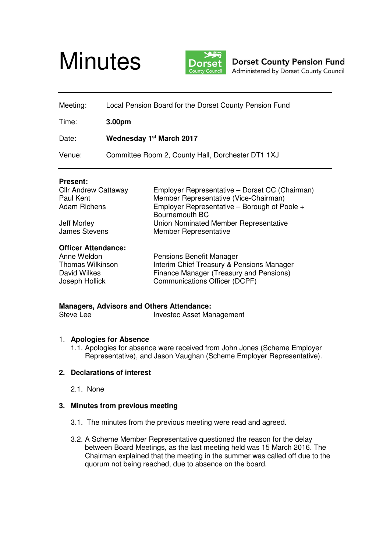



**Dorset County Pension Fund** Administered by Dorset County Council

| Meeting: | Local Pension Board for the Dorset County Pension Fund |  |
|----------|--------------------------------------------------------|--|
| Time:    | 3.00 <sub>pm</sub>                                     |  |
| Date:    | Wednesday 1 <sup>st</sup> March 2017                   |  |
| Venue:   | Committee Room 2, County Hall, Dorchester DT1 1XJ      |  |

#### **Present:**

| <b>Cllr Andrew Cattaway</b>  | Employer Representative - Dorset CC (Chairman)                        |
|------------------------------|-----------------------------------------------------------------------|
| Paul Kent                    | Member Representative (Vice-Chairman)                                 |
| <b>Adam Richens</b>          | Employer Representative – Borough of Poole +<br>Bournemouth BC        |
| Jeff Morley<br>James Stevens | Union Nominated Member Representative<br><b>Member Representative</b> |

#### **Officer Attendance:**

| Anne Weldon      | <b>Pensions Benefit Manager</b>           |
|------------------|-------------------------------------------|
| Thomas Wilkinson | Interim Chief Treasury & Pensions Manager |
| David Wilkes     | Finance Manager (Treasury and Pensions)   |
| Joseph Hollick   | Communications Officer (DCPF)             |

# **Managers, Advisors and Others Attendance:**

Investec Asset Management

# 1. **Apologies for Absence**

1.1. Apologies for absence were received from John Jones (Scheme Employer Representative), and Jason Vaughan (Scheme Employer Representative).

# **2. Declarations of interest**

2.1. None

# **3. Minutes from previous meeting**

- 3.1. The minutes from the previous meeting were read and agreed.
- 3.2. A Scheme Member Representative questioned the reason for the delay between Board Meetings, as the last meeting held was 15 March 2016. The Chairman explained that the meeting in the summer was called off due to the quorum not being reached, due to absence on the board.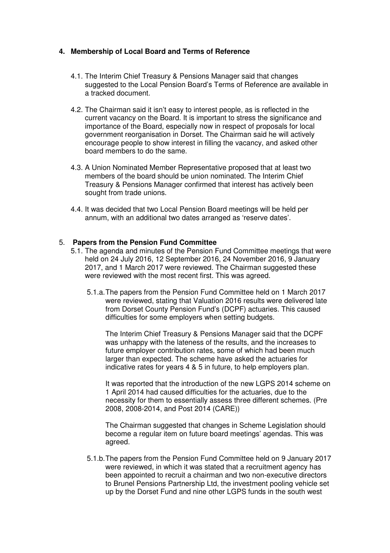# **4. Membership of Local Board and Terms of Reference**

- 4.1. The Interim Chief Treasury & Pensions Manager said that changes suggested to the Local Pension Board's Terms of Reference are available in a tracked document.
- 4.2. The Chairman said it isn't easy to interest people, as is reflected in the current vacancy on the Board. It is important to stress the significance and importance of the Board, especially now in respect of proposals for local government reorganisation in Dorset. The Chairman said he will actively encourage people to show interest in filling the vacancy, and asked other board members to do the same.
- 4.3. A Union Nominated Member Representative proposed that at least two members of the board should be union nominated. The Interim Chief Treasury & Pensions Manager confirmed that interest has actively been sought from trade unions.
- 4.4. It was decided that two Local Pension Board meetings will be held per annum, with an additional two dates arranged as 'reserve dates'.

# 5. **Papers from the Pension Fund Committee**

- 5.1. The agenda and minutes of the Pension Fund Committee meetings that were held on 24 July 2016, 12 September 2016, 24 November 2016, 9 January 2017, and 1 March 2017 were reviewed. The Chairman suggested these were reviewed with the most recent first. This was agreed.
	- 5.1.a. The papers from the Pension Fund Committee held on 1 March 2017 were reviewed, stating that Valuation 2016 results were delivered late from Dorset County Pension Fund's (DCPF) actuaries. This caused difficulties for some employers when setting budgets.

The Interim Chief Treasury & Pensions Manager said that the DCPF was unhappy with the lateness of the results, and the increases to future employer contribution rates, some of which had been much larger than expected. The scheme have asked the actuaries for indicative rates for years 4 & 5 in future, to help employers plan.

It was reported that the introduction of the new LGPS 2014 scheme on 1 April 2014 had caused difficulties for the actuaries, due to the necessity for them to essentially assess three different schemes. (Pre 2008, 2008-2014, and Post 2014 (CARE))

The Chairman suggested that changes in Scheme Legislation should become a regular item on future board meetings' agendas. This was agreed.

5.1.b. The papers from the Pension Fund Committee held on 9 January 2017 were reviewed, in which it was stated that a recruitment agency has been appointed to recruit a chairman and two non-executive directors to Brunel Pensions Partnership Ltd, the investment pooling vehicle set up by the Dorset Fund and nine other LGPS funds in the south west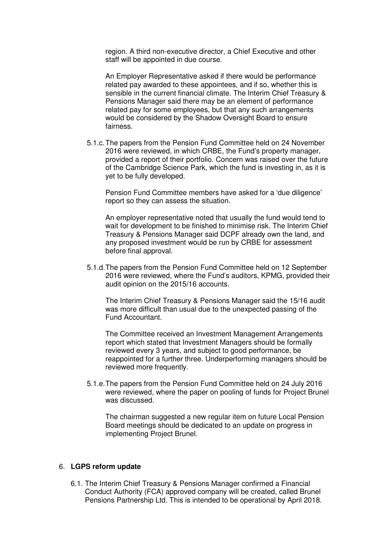region. A third non-executive director, a Chief Executive and other staff will be appointed in due course.

An Employer Representative asked if there would be performance related pay awarded to these appointees, and if so, whether this is sensible in the current financial climate. The Interim Chief Treasury & Pensions Manager said there may be an element of performance related pay for some employees, but that any such arrangements would be considered by the Shadow Oversight Board to ensure fairness.

5.1.c. The papers from the Pension Fund Committee held on 24 November 2016 were reviewed, in which CRBE, the Fund's property manager, provided a report of their portfolio. Concern was raised over the future of the Cambridge Science Park, which the fund is investing in, as it is yet to be fully developed.

Pension Fund Committee members have asked for a 'due diligence' report so they can assess the situation.

An employer representative noted that usually the fund would tend to wait for development to be finished to minimise risk. The Interim Chief Treasury & Pensions Manager said DCPF already own the land, and any proposed investment would be run by CRBE for assessment before final approval.

5.1.d. The papers from the Pension Fund Committee held on 12 September 2016 were reviewed, where the Fund's auditors, KPMG, provided their audit opinion on the 2015/16 accounts.

The Interim Chief Treasury & Pensions Manager said the 15/16 audit was more difficult than usual due to the unexpected passing of the Fund Accountant.

The Committee received an Investment Management Arrangements report which stated that Investment Managers should be formally reviewed every 3 years, and subject to good performance, be reappointed for a further three. Underperforming managers should be reviewed more frequently.

5.1.e. The papers from the Pension Fund Committee held on 24 July 2016 were reviewed, where the paper on pooling of funds for Project Brunel was discussed.

The chairman suggested a new regular item on future Local Pension Board meetings should be dedicated to an update on progress in implementing Project Brunel.

#### 6. **LGPS reform update**

6.1. The Interim Chief Treasury & Pensions Manager confirmed a Financial Conduct Authority (FCA) approved company will be created, called Brunel Pensions Partnership Ltd. This is intended to be operational by April 2018.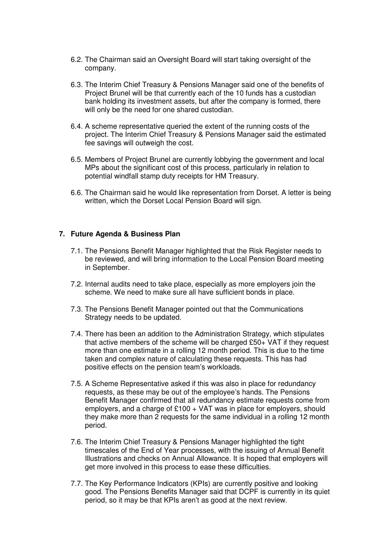- 6.2. The Chairman said an Oversight Board will start taking oversight of the company.
- 6.3. The Interim Chief Treasury & Pensions Manager said one of the benefits of Project Brunel will be that currently each of the 10 funds has a custodian bank holding its investment assets, but after the company is formed, there will only be the need for one shared custodian.
- 6.4. A scheme representative queried the extent of the running costs of the project. The Interim Chief Treasury & Pensions Manager said the estimated fee savings will outweigh the cost.
- 6.5. Members of Project Brunel are currently lobbying the government and local MPs about the significant cost of this process, particularly in relation to potential windfall stamp duty receipts for HM Treasury.
- 6.6. The Chairman said he would like representation from Dorset. A letter is being written, which the Dorset Local Pension Board will sign.

# **7. Future Agenda & Business Plan**

- 7.1. The Pensions Benefit Manager highlighted that the Risk Register needs to be reviewed, and will bring information to the Local Pension Board meeting in September.
- 7.2. Internal audits need to take place, especially as more employers join the scheme. We need to make sure all have sufficient bonds in place.
- 7.3. The Pensions Benefit Manager pointed out that the Communications Strategy needs to be updated.
- 7.4. There has been an addition to the Administration Strategy, which stipulates that active members of the scheme will be charged £50+ VAT if they request more than one estimate in a rolling 12 month period. This is due to the time taken and complex nature of calculating these requests. This has had positive effects on the pension team's workloads.
- 7.5. A Scheme Representative asked if this was also in place for redundancy requests, as these may be out of the employee's hands. The Pensions Benefit Manager confirmed that all redundancy estimate requests come from employers, and a charge of £100 + VAT was in place for employers, should they make more than 2 requests for the same individual in a rolling 12 month period.
- 7.6. The Interim Chief Treasury & Pensions Manager highlighted the tight timescales of the End of Year processes, with the issuing of Annual Benefit Illustrations and checks on Annual Allowance. It is hoped that employers will get more involved in this process to ease these difficulties.
- 7.7. The Key Performance Indicators (KPIs) are currently positive and looking good. The Pensions Benefits Manager said that DCPF is currently in its quiet period, so it may be that KPIs aren't as good at the next review.